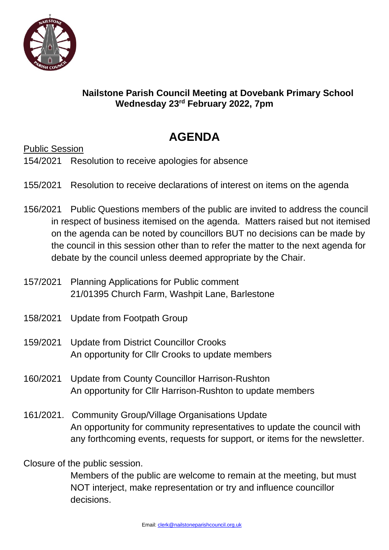

## **Nailstone Parish Council Meeting at Dovebank Primary School Wednesday 23 rd February 2022, 7pm**

## **AGENDA**

Public Session

154/2021 Resolution to receive apologies for absence

- 155/2021 Resolution to receive declarations of interest on items on the agenda
- 156/2021 Public Questions members of the public are invited to address the council in respect of business itemised on the agenda. Matters raised but not itemised on the agenda can be noted by councillors BUT no decisions can be made by the council in this session other than to refer the matter to the next agenda for debate by the council unless deemed appropriate by the Chair.
- 157/2021 Planning Applications for Public comment 21/01395 Church Farm, Washpit Lane, Barlestone
- 158/2021 Update from Footpath Group
- 159/2021 Update from District Councillor Crooks An opportunity for Cllr Crooks to update members
- 160/2021 Update from County Councillor Harrison-Rushton An opportunity for Cllr Harrison-Rushton to update members
- 161/2021. Community Group/Village Organisations Update An opportunity for community representatives to update the council with any forthcoming events, requests for support, or items for the newsletter.

Closure of the public session.

Members of the public are welcome to remain at the meeting, but must NOT interject, make representation or try and influence councillor decisions.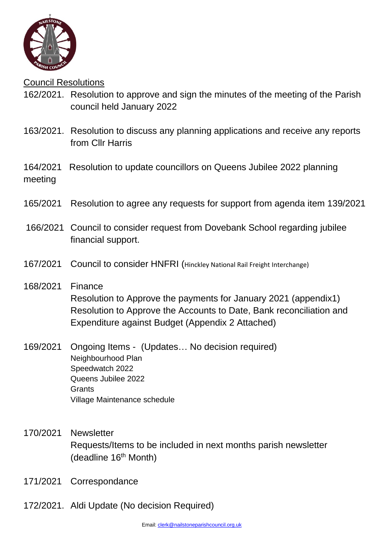

Council Resolutions

- 162/2021. Resolution to approve and sign the minutes of the meeting of the Parish council held January 2022
- 163/2021. Resolution to discuss any planning applications and receive any reports from Cllr Harris
- 164/2021 Resolution to update councillors on Queens Jubilee 2022 planning meeting
- 165/2021 Resolution to agree any requests for support from agenda item 139/2021
- 166/2021 Council to consider request from Dovebank School regarding jubilee financial support.
- 167/2021 Council to consider HNFRI (Hinckley National Rail Freight Interchange)
- 168/2021 Finance Resolution to Approve the payments for January 2021 (appendix1) Resolution to Approve the Accounts to Date, Bank reconciliation and Expenditure against Budget (Appendix 2 Attached)
- 169/2021 Ongoing Items (Updates… No decision required) Neighbourhood Plan Speedwatch 2022 Queens Jubilee 2022 **Grants** Village Maintenance schedule
- 170/2021 Newsletter Requests/Items to be included in next months parish newsletter (deadline 16<sup>th</sup> Month)
- 171/2021 Correspondance
- 172/2021. Aldi Update (No decision Required)